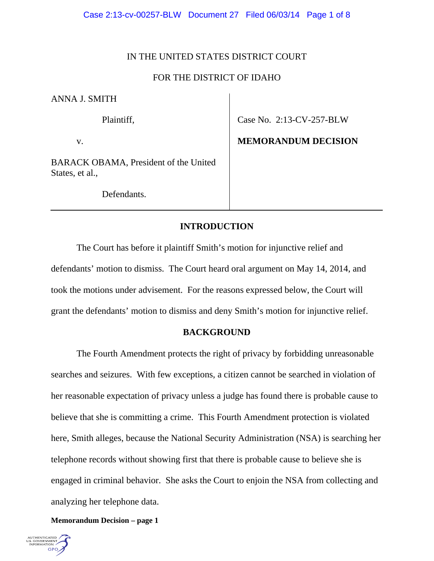# IN THE UNITED STATES DISTRICT COURT

# FOR THE DISTRICT OF IDAHO

ANNA J. SMITH

Plaintiff,

v.

Case No. 2:13-CV-257-BLW

**MEMORANDUM DECISION** 

BARACK OBAMA, President of the United States, et al.,

Defendants.

# **INTRODUCTION**

 The Court has before it plaintiff Smith's motion for injunctive relief and defendants' motion to dismiss. The Court heard oral argument on May 14, 2014, and took the motions under advisement. For the reasons expressed below, the Court will grant the defendants' motion to dismiss and deny Smith's motion for injunctive relief.

# **BACKGROUND**

The Fourth Amendment protects the right of privacy by forbidding unreasonable searches and seizures. With few exceptions, a citizen cannot be searched in violation of her reasonable expectation of privacy unless a judge has found there is probable cause to believe that she is committing a crime. This Fourth Amendment protection is violated here, Smith alleges, because the National Security Administration (NSA) is searching her telephone records without showing first that there is probable cause to believe she is engaged in criminal behavior. She asks the Court to enjoin the NSA from collecting and analyzing her telephone data.

**Memorandum Decision – page 1**

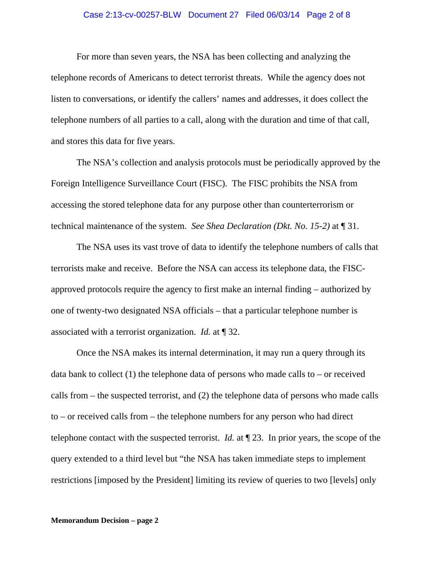#### Case 2:13-cv-00257-BLW Document 27 Filed 06/03/14 Page 2 of 8

For more than seven years, the NSA has been collecting and analyzing the telephone records of Americans to detect terrorist threats. While the agency does not listen to conversations, or identify the callers' names and addresses, it does collect the telephone numbers of all parties to a call, along with the duration and time of that call, and stores this data for five years.

The NSA's collection and analysis protocols must be periodically approved by the Foreign Intelligence Surveillance Court (FISC). The FISC prohibits the NSA from accessing the stored telephone data for any purpose other than counterterrorism or technical maintenance of the system. *See Shea Declaration (Dkt. No. 15-2)* at ¶ 31.

The NSA uses its vast trove of data to identify the telephone numbers of calls that terrorists make and receive. Before the NSA can access its telephone data, the FISCapproved protocols require the agency to first make an internal finding – authorized by one of twenty-two designated NSA officials – that a particular telephone number is associated with a terrorist organization. *Id.* at ¶ 32.

Once the NSA makes its internal determination, it may run a query through its data bank to collect  $(1)$  the telephone data of persons who made calls to – or received calls from – the suspected terrorist, and (2) the telephone data of persons who made calls to – or received calls from – the telephone numbers for any person who had direct telephone contact with the suspected terrorist. *Id.* at ¶ 23. In prior years, the scope of the query extended to a third level but "the NSA has taken immediate steps to implement restrictions [imposed by the President] limiting its review of queries to two [levels] only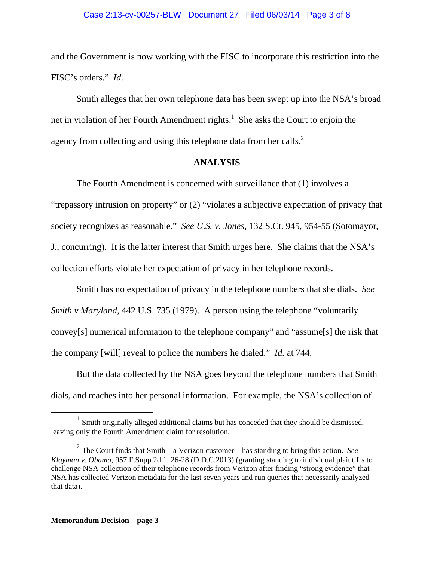## Case 2:13-cv-00257-BLW Document 27 Filed 06/03/14 Page 3 of 8

and the Government is now working with the FISC to incorporate this restriction into the FISC's orders." *Id*.

Smith alleges that her own telephone data has been swept up into the NSA's broad net in violation of her Fourth Amendment rights.<sup>1</sup> She asks the Court to enjoin the agency from collecting and using this telephone data from her calls.<sup>2</sup>

## **ANALYSIS**

The Fourth Amendment is concerned with surveillance that (1) involves a "trepassory intrusion on property" or (2) "violates a subjective expectation of privacy that society recognizes as reasonable." *See U.S. v. Jones,* 132 S.Ct. 945, 954-55 (Sotomayor, J., concurring). It is the latter interest that Smith urges here. She claims that the NSA's collection efforts violate her expectation of privacy in her telephone records.

Smith has no expectation of privacy in the telephone numbers that she dials. *See Smith v Maryland,* 442 U.S. 735 (1979). A person using the telephone "voluntarily convey[s] numerical information to the telephone company" and "assume[s] the risk that the company [will] reveal to police the numbers he dialed." *Id.* at 744.

But the data collected by the NSA goes beyond the telephone numbers that Smith dials, and reaches into her personal information. For example, the NSA's collection of

<sup>&</sup>lt;sup>1</sup> Smith originally alleged additional claims but has conceded that they should be dismissed, leaving only the Fourth Amendment claim for resolution.

 $2^2$  The Court finds that Smith – a Verizon customer – has standing to bring this action. *See Klayman v. Obama*, 957 F.Supp.2d 1, 26-28 (D.D.C.2013) (granting standing to individual plaintiffs to challenge NSA collection of their telephone records from Verizon after finding "strong evidence" that NSA has collected Verizon metadata for the last seven years and run queries that necessarily analyzed that data).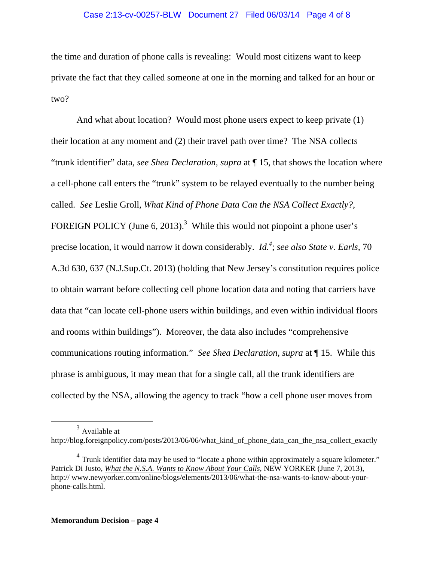## Case 2:13-cv-00257-BLW Document 27 Filed 06/03/14 Page 4 of 8

the time and duration of phone calls is revealing: Would most citizens want to keep private the fact that they called someone at one in the morning and talked for an hour or two?

And what about location? Would most phone users expect to keep private (1) their location at any moment and (2) their travel path over time? The NSA collects "trunk identifier" data, *see Shea Declaration, supra* at ¶ 15, that shows the location where a cell-phone call enters the "trunk" system to be relayed eventually to the number being called. *See* Leslie Groll*, What Kind of Phone Data Can the NSA Collect Exactly?,*  FOREIGN POLICY (June 6, 2013).<sup>3</sup> While this would not pinpoint a phone user's precise location, it would narrow it down considerably. *Id.4* ; *see also State v. Earls,* 70 A.3d 630, 637 (N.J.Sup.Ct. 2013) (holding that New Jersey's constitution requires police to obtain warrant before collecting cell phone location data and noting that carriers have data that "can locate cell-phone users within buildings, and even within individual floors and rooms within buildings").Moreover, the data also includes "comprehensive communications routing information." *See Shea Declaration, supra* at ¶ 15. While this phrase is ambiguous, it may mean that for a single call, all the trunk identifiers are collected by the NSA, allowing the agency to track "how a cell phone user moves from

 $3$  Available at

http://blog.foreignpolicy.com/posts/2013/06/06/what\_kind\_of\_phone\_data\_can\_the\_nsa\_collect\_exactly

 $4$  Trunk identifier data may be used to "locate a phone within approximately a square kilometer." Patrick Di Justo, *What the N.S.A. Wants to Know About Your Calls,* NEW YORKER (June 7, 2013), http:// www.newyorker.com/online/blogs/elements/2013/06/what-the-nsa-wants-to-know-about-yourphone-calls.html.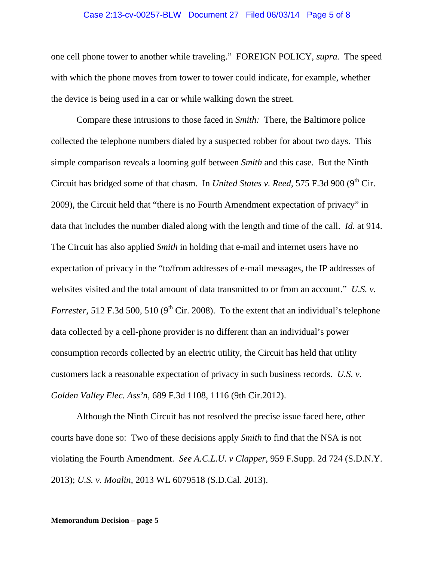#### Case 2:13-cv-00257-BLW Document 27 Filed 06/03/14 Page 5 of 8

one cell phone tower to another while traveling." FOREIGN POLICY, *supra.* The speed with which the phone moves from tower to tower could indicate, for example, whether the device is being used in a car or while walking down the street.

Compare these intrusions to those faced in *Smith:* There, the Baltimore police collected the telephone numbers dialed by a suspected robber for about two days. This simple comparison reveals a looming gulf between *Smith* and this case. But the Ninth Circuit has bridged some of that chasm. In *United States v. Reed,* 575 F.3d 900 (9<sup>th</sup> Cir. 2009), the Circuit held that "there is no Fourth Amendment expectation of privacy" in data that includes the number dialed along with the length and time of the call. *Id.* at 914. The Circuit has also applied *Smith* in holding that e-mail and internet users have no expectation of privacy in the "to/from addresses of e-mail messages, the IP addresses of websites visited and the total amount of data transmitted to or from an account." *U.S. v. Forrester,* 512 F.3d 500, 510 ( $9<sup>th</sup>$  Cir. 2008). To the extent that an individual's telephone data collected by a cell-phone provider is no different than an individual's power consumption records collected by an electric utility, the Circuit has held that utility customers lack a reasonable expectation of privacy in such business records. *U.S. v. Golden Valley Elec. Ass'n,* 689 F.3d 1108, 1116 (9th Cir.2012).

Although the Ninth Circuit has not resolved the precise issue faced here, other courts have done so: Two of these decisions apply *Smith* to find that the NSA is not violating the Fourth Amendment. *See A.C.L.U. v Clapper,* 959 F.Supp. 2d 724 (S.D.N.Y. 2013); *U.S. v. Moalin,* 2013 WL 6079518 (S.D.Cal. 2013).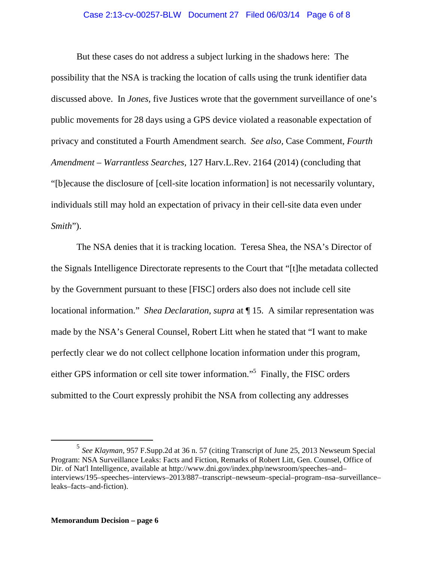## Case 2:13-cv-00257-BLW Document 27 Filed 06/03/14 Page 6 of 8

But these cases do not address a subject lurking in the shadows here: The possibility that the NSA is tracking the location of calls using the trunk identifier data discussed above. In *Jones,* five Justices wrote that the government surveillance of one's public movements for 28 days using a GPS device violated a reasonable expectation of privacy and constituted a Fourth Amendment search. *See also,* Case Comment, *Fourth Amendment – Warrantless Searches,* 127 Harv.L.Rev. 2164 (2014) (concluding that "[b]ecause the disclosure of [cell-site location information] is not necessarily voluntary, individuals still may hold an expectation of privacy in their cell-site data even under *Smith*").

The NSA denies that it is tracking location. Teresa Shea, the NSA's Director of the Signals Intelligence Directorate represents to the Court that "[t]he metadata collected by the Government pursuant to these [FISC] orders also does not include cell site locational information." *Shea Declaration, supra* at ¶ 15. A similar representation was made by the NSA's General Counsel, Robert Litt when he stated that "I want to make perfectly clear we do not collect cellphone location information under this program, either GPS information or cell site tower information."<sup>5</sup> Finally, the FISC orders submitted to the Court expressly prohibit the NSA from collecting any addresses

 <sup>5</sup> *See Klayman,* 957 F.Supp.2d at 36 n. 57 (citing Transcript of June 25, 2013 Newseum Special Program: NSA Surveillance Leaks: Facts and Fiction, Remarks of Robert Litt, Gen. Counsel, Office of Dir. of Nat'l Intelligence, available at http://www.dni.gov/index.php/newsroom/speeches–and– interviews/195–speeches–interviews–2013/887–transcript–newseum–special–program–nsa–surveillance– leaks–facts–and-fiction).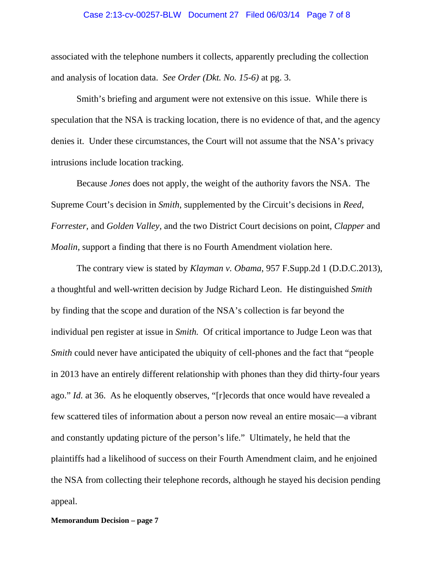#### Case 2:13-cv-00257-BLW Document 27 Filed 06/03/14 Page 7 of 8

associated with the telephone numbers it collects, apparently precluding the collection and analysis of location data. *See Order (Dkt. No. 15-6)* at pg. 3.

Smith's briefing and argument were not extensive on this issue. While there is speculation that the NSA is tracking location, there is no evidence of that, and the agency denies it. Under these circumstances, the Court will not assume that the NSA's privacy intrusions include location tracking.

Because *Jones* does not apply, the weight of the authority favors the NSA. The Supreme Court's decision in *Smith,* supplemented by the Circuit's decisions in *Reed, Forrester,* and *Golden Valley,* and the two District Court decisions on point, *Clapper* and *Moalin,* support a finding that there is no Fourth Amendment violation here.

 The contrary view is stated by *Klayman v. Obama*, 957 F.Supp.2d 1 (D.D.C.2013), a thoughtful and well-written decision by Judge Richard Leon. He distinguished *Smith*  by finding that the scope and duration of the NSA's collection is far beyond the individual pen register at issue in *Smith.* Of critical importance to Judge Leon was that *Smith* could never have anticipated the ubiquity of cell-phones and the fact that "people in 2013 have an entirely different relationship with phones than they did thirty-four years ago." *Id.* at 36. As he eloquently observes, "[r]ecords that once would have revealed a few scattered tiles of information about a person now reveal an entire mosaic—a vibrant and constantly updating picture of the person's life." Ultimately, he held that the plaintiffs had a likelihood of success on their Fourth Amendment claim, and he enjoined the NSA from collecting their telephone records, although he stayed his decision pending appeal.

**Memorandum Decision – page 7**